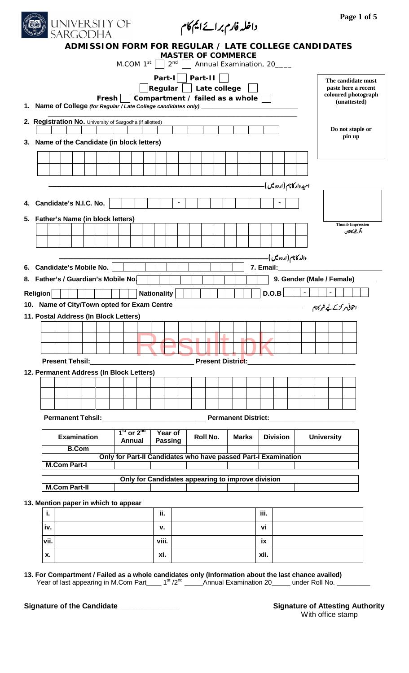|                                                                                  |      | <b>UNIVERSITY OF</b><br>SARGODHA   |       |               |                |                                                                         |                           |                           |  |                          |  | داخلہ فارم برائےایم کام |                                                                |                 |                          |                                                      |                   |                                                            | Page 1 of 5                                                      |  |
|----------------------------------------------------------------------------------|------|------------------------------------|-------|---------------|----------------|-------------------------------------------------------------------------|---------------------------|---------------------------|--|--------------------------|--|-------------------------|----------------------------------------------------------------|-----------------|--------------------------|------------------------------------------------------|-------------------|------------------------------------------------------------|------------------------------------------------------------------|--|
|                                                                                  |      |                                    |       |               |                |                                                                         |                           | <b>MASTER OF COMMERCE</b> |  |                          |  |                         | M.COM $1^{st}$   $2^{nd}$   Annual Examination, 20____         |                 |                          | ADMISSION FORM FOR REGULAR / LATE COLLEGE CANDIDATES |                   |                                                            |                                                                  |  |
| 1. Name of College (for Regular / Late College candidates only) ________________ |      |                                    | Fresh |               |                | $ \mathsf{Regular} \; $ Late college<br>Compartment / failed as a whole |                           | Part-I   Part-II          |  |                          |  |                         |                                                                |                 |                          |                                                      |                   | (unattested)                                               | The candidate must<br>paste here a recent<br>coloured photograph |  |
| 2. Registration No. University of Sargodha (if allotted)                         |      |                                    |       |               |                |                                                                         |                           |                           |  |                          |  |                         |                                                                |                 |                          |                                                      |                   | Do not staple or                                           |                                                                  |  |
| 3. Name of the Candidate (in block letters)                                      |      |                                    |       |               |                |                                                                         |                           |                           |  |                          |  |                         |                                                                |                 |                          |                                                      |                   | pin up                                                     |                                                                  |  |
|                                                                                  |      |                                    |       |               |                |                                                                         |                           |                           |  |                          |  |                         |                                                                |                 |                          |                                                      |                   |                                                            |                                                                  |  |
|                                                                                  |      |                                    |       |               |                |                                                                         |                           |                           |  |                          |  |                         |                                                                |                 | امیدوار کانام(اردو میں)- |                                                      |                   |                                                            |                                                                  |  |
| 4. Candidate's N.I.C. No.                                                        |      |                                    |       |               |                |                                                                         |                           | $\blacksquare$            |  |                          |  |                         |                                                                |                 |                          |                                                      |                   |                                                            |                                                                  |  |
| 5. Father's Name (in block letters)                                              |      |                                    |       |               |                |                                                                         |                           |                           |  |                          |  |                         |                                                                |                 |                          |                                                      |                   |                                                            |                                                                  |  |
|                                                                                  |      |                                    |       |               |                |                                                                         |                           |                           |  |                          |  |                         |                                                                |                 |                          |                                                      |                   | <b>Thumb Impression</b><br>انگو مٹھے کانشان                |                                                                  |  |
|                                                                                  |      |                                    |       |               |                |                                                                         |                           |                           |  |                          |  |                         |                                                                |                 |                          |                                                      |                   |                                                            |                                                                  |  |
|                                                                                  |      |                                    |       |               |                |                                                                         |                           |                           |  |                          |  |                         |                                                                |                 | والد کانام(اردو میں)۔    |                                                      |                   |                                                            |                                                                  |  |
| 6. Candidate's Mobile No.<br>8. Father's / Guardian's Mobile No.                 |      |                                    |       |               |                |                                                                         |                           |                           |  |                          |  |                         |                                                                |                 |                          |                                                      |                   | <b>7. Email: Example 2008</b><br>9. Gender (Male / Female) |                                                                  |  |
| <b>Religion</b>                                                                  |      |                                    |       |               |                | <b>Nationality</b>                                                      |                           |                           |  |                          |  |                         |                                                                | D.O.B           |                          | $\pm$                                                |                   |                                                            |                                                                  |  |
| 10. Name of City/Town opted for Exam Centre _____________                        |      |                                    |       |               |                |                                                                         |                           |                           |  |                          |  |                         |                                                                |                 |                          |                                                      |                   | امتحانی مر کزکے لیے شہر کانام                              |                                                                  |  |
| 11. Postal Address (In Block Letters)                                            |      |                                    |       |               |                |                                                                         |                           |                           |  |                          |  |                         |                                                                |                 |                          |                                                      |                   |                                                            |                                                                  |  |
|                                                                                  |      |                                    |       |               |                |                                                                         |                           |                           |  |                          |  |                         |                                                                |                 |                          |                                                      |                   |                                                            |                                                                  |  |
|                                                                                  |      |                                    |       |               |                |                                                                         |                           |                           |  |                          |  |                         |                                                                |                 |                          |                                                      |                   |                                                            |                                                                  |  |
|                                                                                  |      | <b>Present Tehsil:</b>             |       |               |                |                                                                         |                           |                           |  | <b>Present District:</b> |  |                         |                                                                |                 |                          |                                                      |                   |                                                            |                                                                  |  |
| 12. Permanent Address (In Block Letters)                                         |      |                                    |       |               |                |                                                                         |                           |                           |  |                          |  |                         |                                                                |                 |                          |                                                      |                   |                                                            |                                                                  |  |
|                                                                                  |      |                                    |       |               |                |                                                                         |                           |                           |  |                          |  |                         |                                                                |                 |                          |                                                      |                   |                                                            |                                                                  |  |
|                                                                                  |      |                                    |       |               |                |                                                                         |                           |                           |  |                          |  |                         |                                                                |                 |                          |                                                      |                   |                                                            |                                                                  |  |
|                                                                                  |      | <b>Permanent Tehsil:</b>           |       |               |                |                                                                         |                           |                           |  |                          |  |                         | <b>Permanent District:</b>                                     |                 |                          |                                                      |                   |                                                            |                                                                  |  |
|                                                                                  |      | <b>Examination</b><br><b>B.Com</b> |       | <b>Annual</b> | $1st$ or $2nd$ |                                                                         | Year of<br><b>Passing</b> |                           |  | Roll No.                 |  | <b>Marks</b>            |                                                                | <b>Division</b> |                          |                                                      | <b>University</b> |                                                            |                                                                  |  |
|                                                                                  |      | <b>M.Com Part-I</b>                |       |               |                |                                                                         |                           |                           |  |                          |  |                         | Only for Part-II Candidates who have passed Part-I Examination |                 |                          |                                                      |                   |                                                            |                                                                  |  |
|                                                                                  |      | <b>M.Com Part-II</b>               |       |               |                |                                                                         |                           |                           |  |                          |  |                         | Only for Candidates appearing to improve division              |                 |                          |                                                      |                   |                                                            |                                                                  |  |
| 13. Mention paper in which to appear                                             |      |                                    |       |               |                |                                                                         |                           |                           |  |                          |  |                         |                                                                |                 |                          |                                                      |                   |                                                            |                                                                  |  |
|                                                                                  | i.   |                                    |       |               |                |                                                                         | ii.                       |                           |  |                          |  |                         | iii.                                                           |                 |                          |                                                      |                   |                                                            |                                                                  |  |
|                                                                                  | iv.  |                                    |       |               |                |                                                                         | v.                        |                           |  |                          |  |                         | vi                                                             |                 |                          |                                                      |                   |                                                            |                                                                  |  |
|                                                                                  | vii. |                                    |       |               |                | viii.                                                                   |                           |                           |  |                          |  |                         | ix                                                             |                 |                          |                                                      |                   |                                                            |                                                                  |  |
|                                                                                  | X.   |                                    |       |               |                |                                                                         | xi.                       |                           |  |                          |  |                         | xii.                                                           |                 |                          |                                                      |                   |                                                            |                                                                  |  |

13. For Compartment / Failed as a whole candidates only (Information about the last chance availed)<br>Year of last appearing in M.Com Part\_\_\_\_ 1<sup>st</sup> /2<sup>nd</sup> \_\_\_\_\_\_Annual Examination 20\_\_\_\_\_ under Roll No. \_\_

Signature of the Candidate

**Signature of Attesting Authority** With office stamp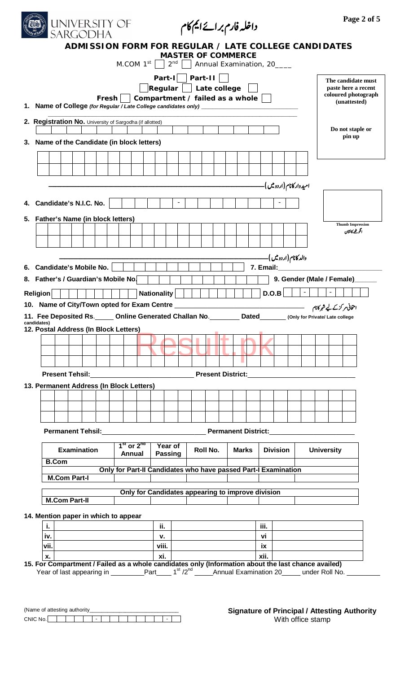|                                                                                                                                                                                        | <b>UNIVERSITY OF</b><br>SARGODHA                     |       |               |                |                    |                           |                |                  |          | داخلہ فارم برائےایم کام                                                               |              |            |                          |                                                                                                                                                                                                                               |                   | Page 2 of 5                                                                      |
|----------------------------------------------------------------------------------------------------------------------------------------------------------------------------------------|------------------------------------------------------|-------|---------------|----------------|--------------------|---------------------------|----------------|------------------|----------|---------------------------------------------------------------------------------------|--------------|------------|--------------------------|-------------------------------------------------------------------------------------------------------------------------------------------------------------------------------------------------------------------------------|-------------------|----------------------------------------------------------------------------------|
|                                                                                                                                                                                        | ADMISSION FORM FOR REGULAR / LATE COLLEGE CANDIDATES |       |               |                |                    |                           |                |                  |          | <b>MASTER OF COMMERCE</b><br>M.COM $1^{st}$   $2^{nd}$     Annual Examination, 20____ |              |            |                          |                                                                                                                                                                                                                               |                   |                                                                                  |
| 1. Name of College (for Regular / Late College candidates only) _________________                                                                                                      |                                                      | Fresh |               |                |                    |                           |                | Part-I   Part-II |          | Regular   Late college<br>Compartment / failed as a whole $\vert \ \vert$             |              |            |                          |                                                                                                                                                                                                                               |                   | The candidate must<br>paste here a recent<br>coloured photograph<br>(unattested) |
| 2. Registration No. University of Sargodha (if allotted)                                                                                                                               |                                                      |       |               |                |                    |                           |                |                  |          |                                                                                       |              |            |                          |                                                                                                                                                                                                                               |                   | Do not staple or<br>pin up                                                       |
| 3. Name of the Candidate (in block letters)                                                                                                                                            |                                                      |       |               |                |                    |                           |                |                  |          |                                                                                       |              |            |                          |                                                                                                                                                                                                                               |                   |                                                                                  |
|                                                                                                                                                                                        |                                                      |       |               |                |                    |                           |                |                  |          |                                                                                       |              |            |                          |                                                                                                                                                                                                                               |                   |                                                                                  |
|                                                                                                                                                                                        |                                                      |       |               |                |                    |                           |                |                  |          |                                                                                       |              |            | امیدوار کانام(اردو میں)- |                                                                                                                                                                                                                               |                   |                                                                                  |
| 4. Candidate's N.I.C. No.                                                                                                                                                              |                                                      |       |               |                |                    |                           | $\blacksquare$ |                  |          |                                                                                       |              |            |                          |                                                                                                                                                                                                                               |                   |                                                                                  |
| 5. Father's Name (in block letters)                                                                                                                                                    |                                                      |       |               |                |                    |                           |                |                  |          |                                                                                       |              |            |                          |                                                                                                                                                                                                                               |                   |                                                                                  |
|                                                                                                                                                                                        |                                                      |       |               |                |                    |                           |                |                  |          |                                                                                       |              |            |                          |                                                                                                                                                                                                                               |                   | <b>Thumb Impression</b><br>انكو فلمح كانشان                                      |
|                                                                                                                                                                                        |                                                      |       |               |                |                    |                           |                |                  |          |                                                                                       |              |            |                          |                                                                                                                                                                                                                               |                   |                                                                                  |
|                                                                                                                                                                                        |                                                      |       |               |                |                    |                           |                |                  |          |                                                                                       |              |            | والد کانام(اردویں)۔      |                                                                                                                                                                                                                               |                   |                                                                                  |
|                                                                                                                                                                                        |                                                      |       |               |                |                    |                           |                |                  |          |                                                                                       |              |            |                          |                                                                                                                                                                                                                               |                   |                                                                                  |
| 6. Candidate's Mobile No.                                                                                                                                                              |                                                      |       |               |                |                    |                           |                |                  |          |                                                                                       |              |            |                          | 7. Email: The Contract of the Contract of the Contract of the Contract of the Contract of the Contract of the Contract of the Contract of the Contract of the Contract of the Contract of the Contract of the Contract of the |                   |                                                                                  |
| 8. Father's / Guardian's Mobile No.<br><b>Religion</b>                                                                                                                                 |                                                      |       |               |                | <b>Nationality</b> |                           |                |                  |          |                                                                                       |              |            | D.O.B                    | $\overline{\phantom{a}}$                                                                                                                                                                                                      |                   | 9. Gender (Male / Female)                                                        |
| 10. Name of City/Town opted for Exam Centre _________<br>11. Fee Deposited Rs. _____ Online Generated Challan No. ________ Dated_______ (Only for Private/ Late college<br>candidates) |                                                      |       |               |                |                    |                           |                |                  |          |                                                                                       |              |            |                          |                                                                                                                                                                                                                               |                   | امتحانی مرکزکے لیے شہر کانام                                                     |
| 12. Postal Address (In Block Letters)                                                                                                                                                  |                                                      |       |               |                |                    |                           |                |                  |          |                                                                                       |              |            |                          |                                                                                                                                                                                                                               |                   |                                                                                  |
|                                                                                                                                                                                        |                                                      |       |               |                |                    |                           |                |                  |          |                                                                                       |              |            |                          |                                                                                                                                                                                                                               |                   |                                                                                  |
|                                                                                                                                                                                        |                                                      |       |               |                |                    |                           |                |                  |          |                                                                                       |              |            |                          |                                                                                                                                                                                                                               |                   |                                                                                  |
| <b>Present Tehsil:</b>                                                                                                                                                                 |                                                      |       |               |                |                    |                           |                |                  |          |                                                                                       |              |            |                          |                                                                                                                                                                                                                               |                   |                                                                                  |
|                                                                                                                                                                                        |                                                      |       |               |                |                    |                           |                |                  |          |                                                                                       |              |            |                          |                                                                                                                                                                                                                               |                   |                                                                                  |
| 13. Permanent Address (In Block Letters)                                                                                                                                               |                                                      |       |               |                |                    |                           |                |                  |          |                                                                                       |              |            |                          |                                                                                                                                                                                                                               |                   |                                                                                  |
|                                                                                                                                                                                        |                                                      |       |               |                |                    |                           |                |                  |          |                                                                                       |              |            |                          |                                                                                                                                                                                                                               |                   |                                                                                  |
|                                                                                                                                                                                        |                                                      |       |               |                |                    |                           |                |                  |          |                                                                                       |              |            |                          |                                                                                                                                                                                                                               |                   |                                                                                  |
|                                                                                                                                                                                        | <b>Examination</b>                                   |       | <b>Annual</b> | $1st$ or $2nd$ |                    | Year of<br><b>Passing</b> |                |                  | Roll No. |                                                                                       | <b>Marks</b> |            | <b>Division</b>          |                                                                                                                                                                                                                               | <b>University</b> |                                                                                  |
| <b>B.Com</b>                                                                                                                                                                           |                                                      |       |               |                |                    |                           |                |                  |          | Only for Part-II Candidates who have passed Part-I Examination                        |              |            |                          |                                                                                                                                                                                                                               |                   |                                                                                  |
|                                                                                                                                                                                        | <b>M.Com Part-I</b>                                  |       |               |                |                    |                           |                |                  |          |                                                                                       |              |            |                          |                                                                                                                                                                                                                               |                   |                                                                                  |
|                                                                                                                                                                                        | <b>M.Com Part-II</b>                                 |       |               |                |                    |                           |                |                  |          | Only for Candidates appearing to improve division                                     |              |            |                          |                                                                                                                                                                                                                               |                   |                                                                                  |
| 14. Mention paper in which to appear                                                                                                                                                   |                                                      |       |               |                |                    |                           |                |                  |          |                                                                                       |              |            |                          |                                                                                                                                                                                                                               |                   |                                                                                  |
| j.                                                                                                                                                                                     |                                                      |       |               |                |                    | ii.                       |                |                  |          |                                                                                       |              | iii.       |                          |                                                                                                                                                                                                                               |                   |                                                                                  |
| iv.                                                                                                                                                                                    |                                                      |       |               |                |                    | $V_{\bullet}$             |                |                  |          |                                                                                       |              | vi         |                          |                                                                                                                                                                                                                               |                   |                                                                                  |
| vii.<br>X.                                                                                                                                                                             |                                                      |       |               |                | xi.                | viii.                     |                |                  |          |                                                                                       |              | ix<br>xii. |                          |                                                                                                                                                                                                                               |                   |                                                                                  |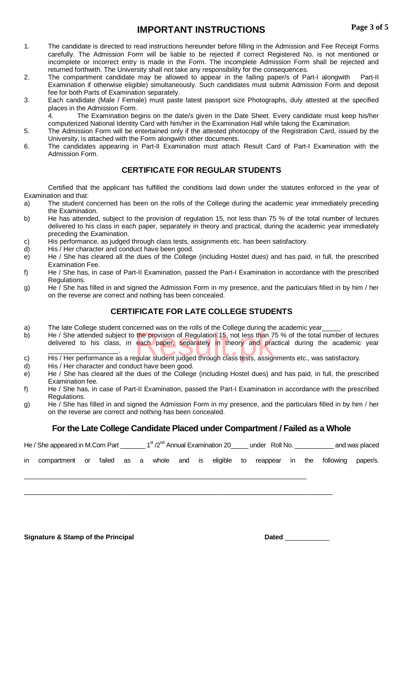# **IMPORTANT INSTRUCTIONS**

- 1. The candidate is directed to read instructions hereunder before filling in the Admission and Fee Receipt Forms carefully. The Admission Form will be liable to be rejected if correct Registered No. is not mentioned or incomplete or incorrect entry is made in the Form. The incomplete Admission Form shall be rejected and returned forthwith. The University shall not take any responsibility for the consequences.
- 2. The compartment candidate may be allowed to appear in the failing paper/s of Part-I alongwith Part-II Examination if otherwise eligible) simultaneously. Such candidates must submit Admission Form and deposit fee for both Parts of Examination separately.
- 3. Each candidate (Male / Female) must paste latest passport size Photographs, duly attested at the specified places in the Admission Form.

4. The Examination begins on the date/s given in the Date Sheet. Every candidate must keep his/her computerized National Identity Card with him/her in the Examination Hall while taking the Examination.

- 5. The Admission Form will be entertained only if the attested photocopy of the Registration Card, issued by the University, is attached with the Form alongwith other documents.
- 6. The candidates appearing in Part-II Examination must attach Result Card of Part-I Examination with the Admission Form.

### **CERTIFICATE FOR REGULAR STUDENTS**

Certified that the applicant has fulfilled the conditions laid down under the statutes enforced in the year of Examination and that:

- a) The student concerned has been on the rolls of the College during the academic year immediately preceding the Examination.
- b) He has attended, subject to the provision of regulation 15, not less than 75 % of the total number of lectures delivered to his class in each paper, separately in theory and practical, during the academic year immediately preceding the Examination.
- c) His performance, as judged through class tests, assignments etc. has been satisfactory.<br>d) His / Her character and conduct have been good.
- His / Her character and conduct have been good.
- e) He / She has cleared all the dues of the College (including Hostel dues) and has paid, in full, the prescribed Examination Fee.
- f) He / She has, in case of Part-II Examination, passed the Part-I Examination in accordance with the prescribed Regulations.
- g) He / She has filled in and signed the Admission Form in my presence, and the particulars filled in by him / her on the reverse are correct and nothing has been concealed.

## **CERTIFICATE FOR LATE COLLEGE STUDENTS**

- a) The late College student concerned was on the rolls of the College during the academic year
- b) He / She attended subject to the provision of Regulation 15, not less than 75 % of the total number of lectures delivered to his class, in each paper, separately in theory and practical during the academic year.<br>C) His delivered to his class, in each paper, separately in theory and practical during the academic year \_\_\_\_\_\_\_\_\_\_\_\_\_\_\_\_\_\_\_.
- c) His / Her performance as a regular student judged through class tests, assignments etc., was satisfactory.
- d) His / Her character and conduct have been good.
- e) He / She has cleared all the dues of the College (including Hostel dues) and has paid, in full, the prescribed Examination fee.
- f) He / She has, in case of Part-II Examination, passed the Part-I Examination in accordance with the prescribed Regulations.
- g) He / She has filled in and signed the Admission Form in my presence, and the particulars filled in by him / her on the reverse are correct and nothing has been concealed.

# **For the Late College Candidate Placed under Compartment / Failed as a Whole**

|    | He / She appeared in M.Com Part $1st/2nd$ Annual Examination 20 $1st$ under Roll No. |  |  |  |  |                           |  | and was placed |
|----|--------------------------------------------------------------------------------------|--|--|--|--|---------------------------|--|----------------|
| in | compartment or failed as a whole and is eligible to                                  |  |  |  |  | reappear in the following |  | paper/s.       |
|    |                                                                                      |  |  |  |  |                           |  |                |

**Signature & Stamp of the Principal <b>Dated** \_\_\_\_\_\_\_\_\_\_\_\_\_\_\_\_\_\_\_\_\_\_\_\_\_\_\_\_\_\_\_Dated \_\_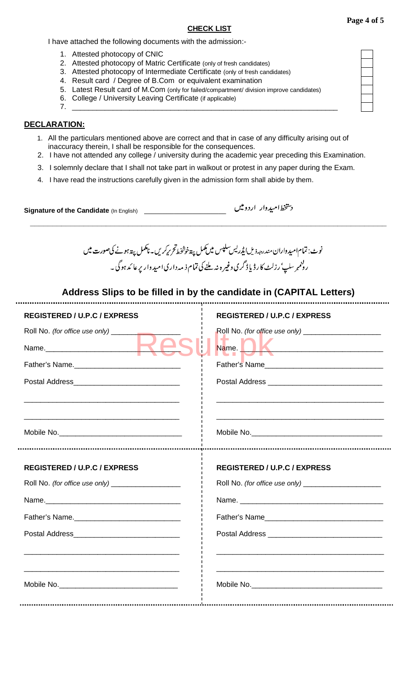### **CHECK LIST**

I have attached the following documents with the admission:-

- 1. Attested photocopy of CNIC
- 2. Attested photocopy of Matric Certificate (only of fresh candidates)
- 3. Attested photocopy of Intermediate Certificate (only of fresh candidates)
- 4. Result card / Degree of B.Com or equivalent examination
- 5. Latest Result card of M.Com (only for failed/compartment/ division improve candidates)
- 6. College / University Leaving Certificate (if applicable)
- 7. \_\_\_\_\_\_\_\_\_\_\_\_\_\_\_\_\_\_\_\_\_\_\_\_\_\_\_\_\_\_\_\_\_\_\_\_\_\_\_\_\_\_\_\_\_\_\_\_\_\_\_\_\_\_\_\_\_\_\_\_\_\_\_\_\_

## **DECLARATION:**

- 1. All the particulars mentioned above are correct and that in case of any difficulty arising out of inaccuracy therein, I shall be responsible for the consequences.
- 2. I have not attended any college / university during the academic year preceding this Examination.
- 3. I solemnly declare that I shall not take part in walkout or protest in any paper during the Exam.
- 4. I have read the instructions carefully given in the admission form shall abide by them.

**Signature of the Candidate** (In English)

د تتخط امیدوار اردومیں

نوٹ: تمام امید واران مندرجہ ذیل ایڈریس<sup>سلیس</sup> میں ممل پین*خوشخط قح بی*کریں۔ نامکمل پینہ ہونے کی صورت میں رونىم<sub>ىر</sub> سلپ<sup>،</sup> رزلٹ كارڈ ياڈ گرى وغير ہ نہ ملنے كى تمام ذ مەدارى اميد وار پر عا ئد ہوگى ۔

**\_\_\_\_\_\_\_\_\_\_\_\_\_\_\_\_\_\_\_\_\_\_\_\_\_\_\_\_\_\_\_\_\_\_\_\_\_\_\_\_\_\_\_\_\_\_\_\_\_\_\_\_\_\_\_\_\_\_\_\_\_\_\_\_\_\_\_\_\_\_\_\_\_\_\_\_\_\_\_\_**

## **Address Slips to be filled in by the candidate in (CAPITAL Letters)**

| <b>REGISTERED / U.P.C / EXPRESS</b>                   | <b>REGISTERED / U.P.C / EXPRESS</b>                                                                            |
|-------------------------------------------------------|----------------------------------------------------------------------------------------------------------------|
|                                                       |                                                                                                                |
|                                                       | Name. Name . Name . Name . Name . Name . Name . Name . Name . Name . Name . Name . Name . Name . Name . Name . |
|                                                       |                                                                                                                |
|                                                       |                                                                                                                |
|                                                       |                                                                                                                |
|                                                       |                                                                                                                |
| <b>REGISTERED / U.P.C / EXPRESS</b>                   | <b>REGISTERED / U.P.C / EXPRESS</b>                                                                            |
| Roll No. (for office use only) ______________________ |                                                                                                                |
|                                                       |                                                                                                                |
|                                                       |                                                                                                                |
|                                                       |                                                                                                                |
|                                                       |                                                                                                                |
|                                                       |                                                                                                                |